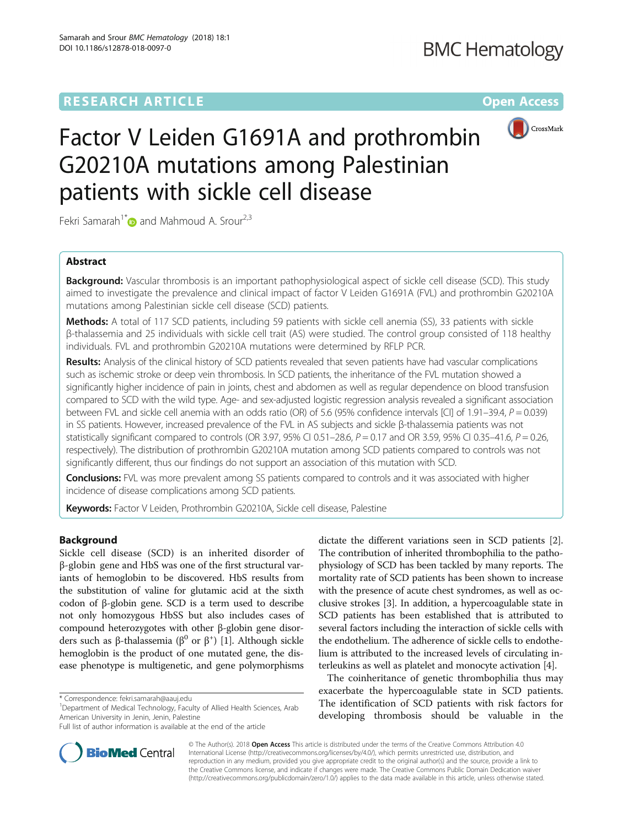# **RESEARCH ARTICLE Example 2014 12:30 The Contract of Contract ACCESS**



# Factor V Leiden G1691A and prothrombin G20210A mutations among Palestinian patients with sickle cell disease

Fekri Samarah<sup>1\*</sup> and Mahmoud A. Srour<sup>2,3</sup>

# Abstract

**Background:** Vascular thrombosis is an important pathophysiological aspect of sickle cell disease (SCD). This study aimed to investigate the prevalence and clinical impact of factor V Leiden G1691A (FVL) and prothrombin G20210A mutations among Palestinian sickle cell disease (SCD) patients.

Methods: A total of 117 SCD patients, including 59 patients with sickle cell anemia (SS), 33 patients with sickle β-thalassemia and 25 individuals with sickle cell trait (AS) were studied. The control group consisted of 118 healthy individuals. FVL and prothrombin G20210A mutations were determined by RFLP PCR.

Results: Analysis of the clinical history of SCD patients revealed that seven patients have had vascular complications such as ischemic stroke or deep vein thrombosis. In SCD patients, the inheritance of the FVL mutation showed a significantly higher incidence of pain in joints, chest and abdomen as well as regular dependence on blood transfusion compared to SCD with the wild type. Age- and sex-adjusted logistic regression analysis revealed a significant association between FVL and sickle cell anemia with an odds ratio (OR) of 5.6 (95% confidence intervals [CI] of 1.91–39.4,  $P = 0.039$ ) in SS patients. However, increased prevalence of the FVL in AS subjects and sickle β-thalassemia patients was not statistically significant compared to controls (OR 3.97, 95% CI 0.51–28.6,  $P = 0.17$  and OR 3.59, 95% CI 0.35–41.6,  $P = 0.26$ , respectively). The distribution of prothrombin G20210A mutation among SCD patients compared to controls was not significantly different, thus our findings do not support an association of this mutation with SCD.

Conclusions: FVL was more prevalent among SS patients compared to controls and it was associated with higher incidence of disease complications among SCD patients.

Keywords: Factor V Leiden, Prothrombin G20210A, Sickle cell disease, Palestine

# Background

Sickle cell disease (SCD) is an inherited disorder of β-globin gene and HbS was one of the first structural variants of hemoglobin to be discovered. HbS results from the substitution of valine for glutamic acid at the sixth codon of β-globin gene. SCD is a term used to describe not only homozygous HbSS but also includes cases of compound heterozygotes with other β-globin gene disorders such as β-thalassemia ( $\beta$ <sup>0</sup> or  $\beta$ <sup>+</sup>) [[1\]](#page-6-0). Although sickle hemoglobin is the product of one mutated gene, the disease phenotype is multigenetic, and gene polymorphisms

\* Correspondence: [fekri.samarah@aauj.edu](mailto:fekri.samarah@aauj.edu) <sup>1</sup>

<sup>1</sup>Department of Medical Technology, Faculty of Allied Health Sciences, Arab American University in Jenin, Jenin, Palestine

dictate the different variations seen in SCD patients [[2](#page-6-0)]. The contribution of inherited thrombophilia to the pathophysiology of SCD has been tackled by many reports. The mortality rate of SCD patients has been shown to increase with the presence of acute chest syndromes, as well as occlusive strokes [[3](#page-6-0)]. In addition, a hypercoagulable state in SCD patients has been established that is attributed to several factors including the interaction of sickle cells with the endothelium. The adherence of sickle cells to endothelium is attributed to the increased levels of circulating interleukins as well as platelet and monocyte activation [[4](#page-6-0)].

The coinheritance of genetic thrombophilia thus may exacerbate the hypercoagulable state in SCD patients. The identification of SCD patients with risk factors for developing thrombosis should be valuable in the



© The Author(s). 2018 Open Access This article is distributed under the terms of the Creative Commons Attribution 4.0 International License [\(http://creativecommons.org/licenses/by/4.0/](http://creativecommons.org/licenses/by/4.0/)), which permits unrestricted use, distribution, and reproduction in any medium, provided you give appropriate credit to the original author(s) and the source, provide a link to the Creative Commons license, and indicate if changes were made. The Creative Commons Public Domain Dedication waiver [\(http://creativecommons.org/publicdomain/zero/1.0/](http://creativecommons.org/publicdomain/zero/1.0/)) applies to the data made available in this article, unless otherwise stated.

Full list of author information is available at the end of the article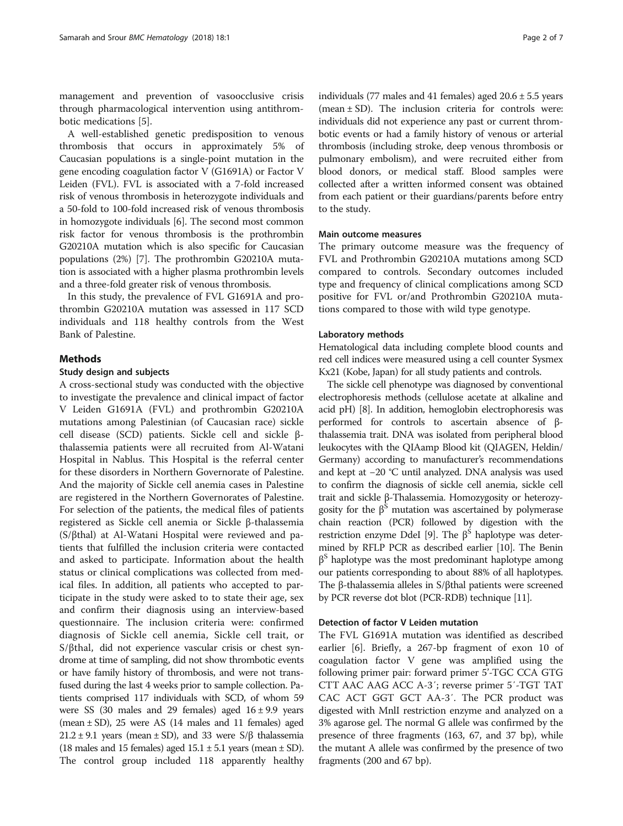management and prevention of vasoocclusive crisis through pharmacological intervention using antithrombotic medications [\[5](#page-6-0)].

A well-established genetic predisposition to venous thrombosis that occurs in approximately 5% of Caucasian populations is a single-point mutation in the gene encoding coagulation factor V (G1691A) or Factor V Leiden (FVL). FVL is associated with a 7-fold increased risk of venous thrombosis in heterozygote individuals and a 50-fold to 100-fold increased risk of venous thrombosis in homozygote individuals [[6\]](#page-6-0). The second most common risk factor for venous thrombosis is the prothrombin G20210A mutation which is also specific for Caucasian populations (2%) [\[7](#page-6-0)]. The prothrombin G20210A mutation is associated with a higher plasma prothrombin levels and a three-fold greater risk of venous thrombosis.

In this study, the prevalence of FVL G1691A and prothrombin G20210A mutation was assessed in 117 SCD individuals and 118 healthy controls from the West Bank of Palestine.

# **Methods**

#### Study design and subjects

A cross-sectional study was conducted with the objective to investigate the prevalence and clinical impact of factor V Leiden G1691A (FVL) and prothrombin G20210A mutations among Palestinian (of Caucasian race) sickle cell disease (SCD) patients. Sickle cell and sickle βthalassemia patients were all recruited from Al-Watani Hospital in Nablus. This Hospital is the referral center for these disorders in Northern Governorate of Palestine. And the majority of Sickle cell anemia cases in Palestine are registered in the Northern Governorates of Palestine. For selection of the patients, the medical files of patients registered as Sickle cell anemia or Sickle β-thalassemia (S/βthal) at Al-Watani Hospital were reviewed and patients that fulfilled the inclusion criteria were contacted and asked to participate. Information about the health status or clinical complications was collected from medical files. In addition, all patients who accepted to participate in the study were asked to to state their age, sex and confirm their diagnosis using an interview-based questionnaire. The inclusion criteria were: confirmed diagnosis of Sickle cell anemia, Sickle cell trait, or S/βthal, did not experience vascular crisis or chest syndrome at time of sampling, did not show thrombotic events or have family history of thrombosis, and were not transfused during the last 4 weeks prior to sample collection. Patients comprised 117 individuals with SCD, of whom 59 were SS (30 males and 29 females) aged  $16 \pm 9.9$  years (mean  $\pm$  SD), 25 were AS (14 males and 11 females) aged  $21.2 \pm 9.1$  years (mean  $\pm$  SD), and 33 were S/ $\beta$  thalassemia (18 males and 15 females) aged  $15.1 \pm 5.1$  years (mean  $\pm$  SD). The control group included 118 apparently healthy individuals (77 males and 41 females) aged  $20.6 \pm 5.5$  years (mean  $\pm$  SD). The inclusion criteria for controls were: individuals did not experience any past or current thrombotic events or had a family history of venous or arterial thrombosis (including stroke, deep venous thrombosis or pulmonary embolism), and were recruited either from blood donors, or medical staff. Blood samples were collected after a written informed consent was obtained from each patient or their guardians/parents before entry to the study.

## Main outcome measures

The primary outcome measure was the frequency of FVL and Prothrombin G20210A mutations among SCD compared to controls. Secondary outcomes included type and frequency of clinical complications among SCD positive for FVL or/and Prothrombin G20210A mutations compared to those with wild type genotype.

#### Laboratory methods

Hematological data including complete blood counts and red cell indices were measured using a cell counter Sysmex Kx21 (Kobe, Japan) for all study patients and controls.

The sickle cell phenotype was diagnosed by conventional electrophoresis methods (cellulose acetate at alkaline and acid pH) [[8](#page-6-0)]. In addition, hemoglobin electrophoresis was performed for controls to ascertain absence of βthalassemia trait. DNA was isolated from peripheral blood leukocytes with the QIAamp Blood kit (QIAGEN, Heldin/ Germany) according to manufacturer's recommendations and kept at −20 °C until analyzed. DNA analysis was used to confirm the diagnosis of sickle cell anemia, sickle cell trait and sickle β-Thalassemia. Homozygosity or heterozygosity for the  $\beta^S$  mutation was ascertained by polymerase chain reaction (PCR) followed by digestion with the restriction enzyme DdeI [\[9\]](#page-6-0). The  $\beta^S$  haplotype was determined by RFLP PCR as described earlier [[10](#page-6-0)]. The Benin  $β<sup>S</sup>$  haplotype was the most predominant haplotype among our patients corresponding to about 88% of all haplotypes. The β-thalassemia alleles in S/βthal patients were screened by PCR reverse dot blot (PCR-RDB) technique [\[11\]](#page-6-0).

## Detection of factor V Leiden mutation

The FVL G1691A mutation was identified as described earlier [\[6](#page-6-0)]. Briefly, a 267-bp fragment of exon 10 of coagulation factor V gene was amplified using the following primer pair: forward primer 5'-TGC CCA GTG CTT AAC AAG ACC A-3′; reverse primer 5′-TGT TAT CAC ACT GGT GCT AA-3′. The PCR product was digested with MnlI restriction enzyme and analyzed on a 3% agarose gel. The normal G allele was confirmed by the presence of three fragments (163, 67, and 37 bp), while the mutant A allele was confirmed by the presence of two fragments (200 and 67 bp).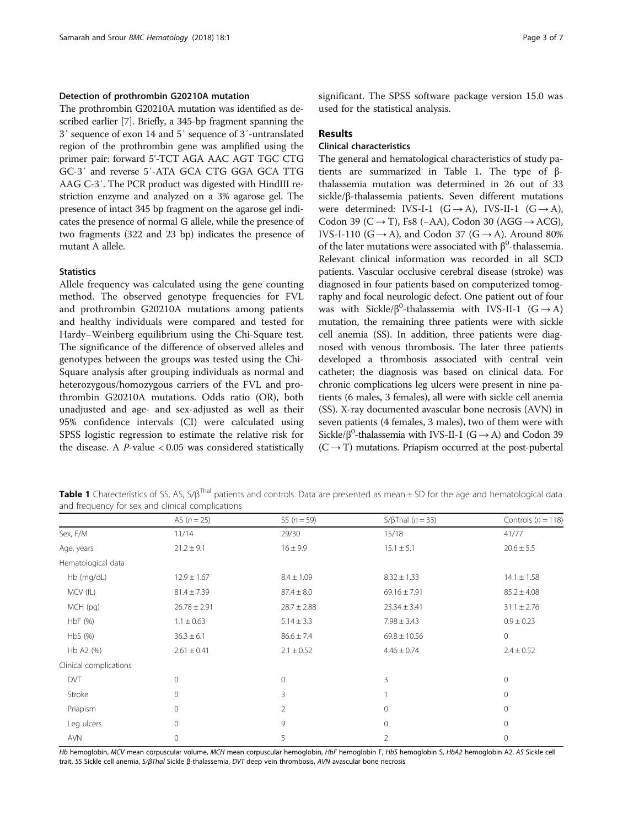## <span id="page-2-0"></span>Detection of prothrombin G20210A mutation

The prothrombin G20210A mutation was identified as described earlier [[7](#page-6-0)]. Briefly, a 345-bp fragment spanning the 3′ sequence of exon 14 and 5′ sequence of 3′-untranslated region of the prothrombin gene was amplified using the primer pair: forward 5'-TCT AGA AAC AGT TGC CTG GC-3′ and reverse 5′-ATA GCA CTG GGA GCA TTG AAG C-3′. The PCR product was digested with HindIII restriction enzyme and analyzed on a 3% agarose gel. The presence of intact 345 bp fragment on the agarose gel indicates the presence of normal G allele, while the presence of two fragments (322 and 23 bp) indicates the presence of mutant A allele.

## **Statistics**

Allele frequency was calculated using the gene counting method. The observed genotype frequencies for FVL and prothrombin G20210A mutations among patients and healthy individuals were compared and tested for Hardy–Weinberg equilibrium using the Chi-Square test. The significance of the difference of observed alleles and genotypes between the groups was tested using the Chi-Square analysis after grouping individuals as normal and heterozygous/homozygous carriers of the FVL and prothrombin G20210A mutations. Odds ratio (OR), both unadjusted and age- and sex-adjusted as well as their 95% confidence intervals (CI) were calculated using SPSS logistic regression to estimate the relative risk for the disease. A  $P$ -value < 0.05 was considered statistically significant. The SPSS software package version 15.0 was used for the statistical analysis.

#### Results

# Clinical characteristics

The general and hematological characteristics of study patients are summarized in Table 1. The type of βthalassemia mutation was determined in 26 out of 33 sickle/β-thalassemia patients. Seven different mutations were determined: IVS-I-1  $(G \rightarrow A)$ , IVS-II-1  $(G \rightarrow A)$ , Codon 39 (C → T), Fs8 (−AA), Codon 30 (AGG → ACG), IVS-I-110 (G  $\rightarrow$  A), and Codon 37 (G  $\rightarrow$  A). Around 80% of the later mutations were associated with  $\beta^0$ -thalassemia. Relevant clinical information was recorded in all SCD patients. Vascular occlusive cerebral disease (stroke) was diagnosed in four patients based on computerized tomography and focal neurologic defect. One patient out of four was with Sickle/ $\beta^0$ -thalassemia with IVS-II-1 (G  $\rightarrow$  A) mutation, the remaining three patients were with sickle cell anemia (SS). In addition, three patients were diagnosed with venous thrombosis. The later three patients developed a thrombosis associated with central vein catheter; the diagnosis was based on clinical data. For chronic complications leg ulcers were present in nine patients (6 males, 3 females), all were with sickle cell anemia (SS). X-ray documented avascular bone necrosis (AVN) in seven patients (4 females, 3 males), two of them were with Sickle/ $\beta^0$ -thalassemia with IVS-II-1 (G  $\rightarrow$  A) and Codon 39  $(C \rightarrow T)$  mutations. Priapism occurred at the post-pubertal

Table 1 Charecteristics of SS, AS, S/β<sup>Thal</sup> patients and controls. Data are presented as mean ± SD for the age and hematological data and frequency for sex and clinical complications

|                        | AS $(n = 25)$    | SS $(n = 59)$   | S/ $\beta$ Thal ( $n = 33$ ) | Controls ( $n = 118$ ) |
|------------------------|------------------|-----------------|------------------------------|------------------------|
| Sex, F/M               | 11/14            | 29/30           | 15/18                        | 41/77                  |
| Age, years             | $21.2 \pm 9.1$   | $16 \pm 9.9$    | $15.1 \pm 5.1$               | $20.6 \pm 5.5$         |
| Hematological data     |                  |                 |                              |                        |
| Hb (mg/dL)             | $12.9 \pm 1.67$  | $8.4 \pm 1.09$  | $8.32 \pm 1.33$              | $14.1 \pm 1.58$        |
| MCV (fL)               | $81.4 \pm 7.39$  | $87.4 \pm 8.0$  | $69.16 \pm 7.91$             | $85.2 \pm 4.08$        |
| MCH (pg)               | $26.78 \pm 2.91$ | $28.7 \pm 2.88$ | $23.34 \pm 3.41$             | $31.1 \pm 2.76$        |
| HbF (%)                | $1.1 \pm 0.63$   | $5.14 \pm 3.3$  | $7.98 \pm 3.43$              | $0.9 \pm 0.23$         |
| HbS <sub>(</sub> %)    | $36.3 \pm 6.1$   | $86.6 \pm 7.4$  | $69.8 \pm 10.56$             | $\mathbf{0}$           |
| Hb A2 (%)              | $2.61 \pm 0.41$  | $2.1 \pm 0.52$  | $4.46 \pm 0.74$              | $2.4 \pm 0.52$         |
| Clinical complications |                  |                 |                              |                        |
| <b>DVT</b>             | $\Omega$         | $\overline{0}$  | 3                            | $\mathbf{0}$           |
| Stroke                 | $\Omega$         | 3               |                              | $\mathbf{0}$           |
| Priapism               | $\Omega$         | 2               | $\mathbf 0$                  | 0                      |
| Leg ulcers             | 0                | 9               | $\mathbf{0}$                 | $\mathbf{0}$           |
| AVN                    | 0                | 5               | $\overline{2}$               | 0                      |

Hb hemoglobin, MCV mean corpuscular volume, MCH mean corpuscular hemoglobin, HbF hemoglobin F, HbS hemoglobin S, HbA2 hemoglobin A2. AS Sickle cell trait, SS Sickle cell anemia, S/βThal Sickle <sup>β</sup>-thalassemia, DVT deep vein thrombosis, AVN avascular bone necrosis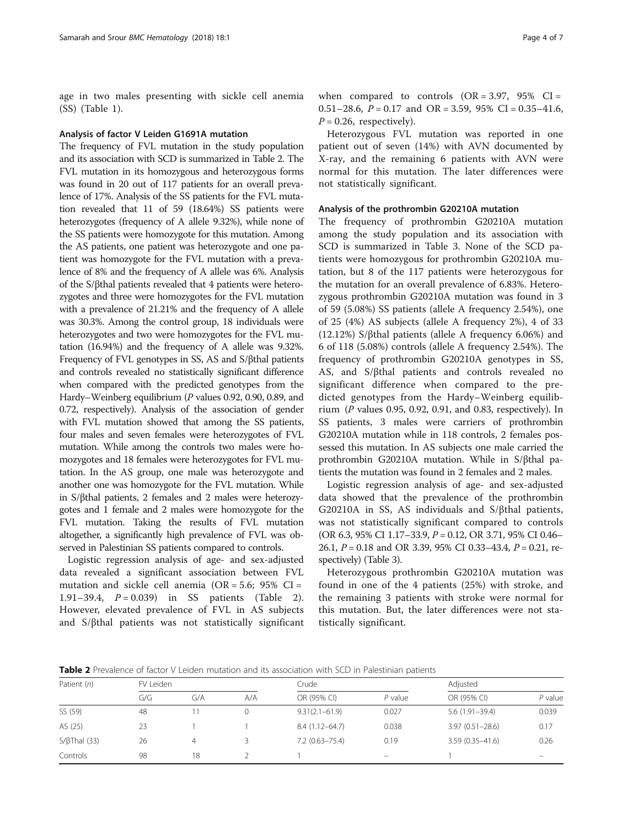age in two males presenting with sickle cell anemia (SS) (Table [1](#page-2-0)).

#### Analysis of factor V Leiden G1691A mutation

The frequency of FVL mutation in the study population and its association with SCD is summarized in Table 2. The FVL mutation in its homozygous and heterozygous forms was found in 20 out of 117 patients for an overall prevalence of 17%. Analysis of the SS patients for the FVL mutation revealed that 11 of 59 (18.64%) SS patients were heterozygotes (frequency of A allele 9.32%), while none of the SS patients were homozygote for this mutation. Among the AS patients, one patient was heterozygote and one patient was homozygote for the FVL mutation with a prevalence of 8% and the frequency of A allele was 6%. Analysis of the S/βthal patients revealed that 4 patients were heterozygotes and three were homozygotes for the FVL mutation with a prevalence of 21.21% and the frequency of A allele was 30.3%. Among the control group, 18 individuals were heterozygotes and two were homozygotes for the FVL mutation (16.94%) and the frequency of A allele was 9.32%. Frequency of FVL genotypes in SS, AS and S/βthal patients and controls revealed no statistically significant difference when compared with the predicted genotypes from the Hardy–Weinberg equilibrium (P values 0.92, 0.90, 0.89, and 0.72, respectively). Analysis of the association of gender with FVL mutation showed that among the SS patients, four males and seven females were heterozygotes of FVL mutation. While among the controls two males were homozygotes and 18 females were heterozygotes for FVL mutation. In the AS group, one male was heterozygote and another one was homozygote for the FVL mutation. While in S/βthal patients, 2 females and 2 males were heterozygotes and 1 female and 2 males were homozygote for the FVL mutation. Taking the results of FVL mutation altogether, a significantly high prevalence of FVL was observed in Palestinian SS patients compared to controls.

Logistic regression analysis of age- and sex-adjusted data revealed a significant association between FVL mutation and sickle cell anemia ( $OR = 5.6$ ; 95%  $CI =$ 1.91–39.4,  $P = 0.039$  in SS patients (Table 2). However, elevated prevalence of FVL in AS subjects and S/βthal patients was not statistically significant when compared to controls  $(OR = 3.97, 95\% \text{ CI} =$ 0.51–28.6,  $P = 0.17$  and OR = 3.59, 95% CI = 0.35–41.6,  $P = 0.26$ , respectively).

Heterozygous FVL mutation was reported in one patient out of seven (14%) with AVN documented by X-ray, and the remaining 6 patients with AVN were normal for this mutation. The later differences were not statistically significant.

## Analysis of the prothrombin G20210A mutation

The frequency of prothrombin G20210A mutation among the study population and its association with SCD is summarized in Table [3.](#page-4-0) None of the SCD patients were homozygous for prothrombin G20210A mutation, but 8 of the 117 patients were heterozygous for the mutation for an overall prevalence of 6.83%. Heterozygous prothrombin G20210A mutation was found in 3 of 59 (5.08%) SS patients (allele A frequency 2.54%), one of 25 (4%) AS subjects (allele A frequency 2%), 4 of 33 (12.12%) S/βthal patients (allele A frequency 6.06%) and 6 of 118 (5.08%) controls (allele A frequency 2.54%). The frequency of prothrombin G20210A genotypes in SS, AS, and S/βthal patients and controls revealed no significant difference when compared to the predicted genotypes from the Hardy–Weinberg equilibrium  $(P$  values 0.95, 0.92, 0.91, and 0.83, respectively). In SS patients, 3 males were carriers of prothrombin G20210A mutation while in 118 controls, 2 females possessed this mutation. In AS subjects one male carried the prothrombin G20210A mutation. While in S/βthal patients the mutation was found in 2 females and 2 males.

Logistic regression analysis of age- and sex-adjusted data showed that the prevalence of the prothrombin G20210A in SS, AS individuals and S/βthal patients, was not statistically significant compared to controls (OR 6.3, 95% CI 1.17–33.9, P = 0.12, OR 3.71, 95% CI 0.46– 26.1,  $P = 0.18$  and OR 3.39, 95% CI 0.33-43.4,  $P = 0.21$ , respectively) (Table [3\)](#page-4-0).

Heterozygous prothrombin G20210A mutation was found in one of the 4 patients (25%) with stroke, and the remaining 3 patients with stroke were normal for this mutation. But, the later differences were not statistically significant.

Table 2 Prevalence of factor V Leiden mutation and its association with SCD in Palestinian patients

| Patient (n)          | FV Leiden |     |     | Crude              |                          | Adjusted            |                          |
|----------------------|-----------|-----|-----|--------------------|--------------------------|---------------------|--------------------------|
|                      | G/G       | G/A | A/A | OR (95% CI)        | $P$ value                | OR (95% CI)         | $P$ value                |
| SS (59)              | 48        |     |     | $9.31(2.1 - 61.9)$ | 0.027                    | $5.6(1.91-39.4)$    | 0.039                    |
| AS (25)              | 23        |     |     | $8.4(1.12 - 64.7)$ | 0.038                    | $3.97(0.51 - 28.6)$ | 0.17                     |
| $S/ \beta$ Thal (33) | 26        | 4   |     | $7.2(0.63 - 75.4)$ | 0.19                     | $3.59(0.35 - 41.6)$ | 0.26                     |
| Controls             | 98        | 18  |     |                    | $\overline{\phantom{m}}$ |                     | $\overline{\phantom{0}}$ |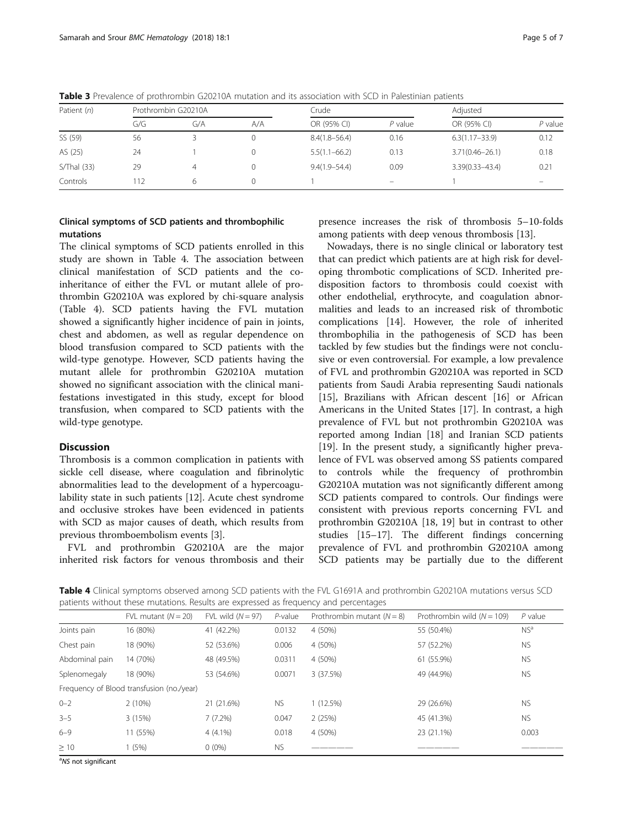| Patient (n)   | Prothrombin G20210A |     |     | Crude             |           | Adjusted            |                              |
|---------------|---------------------|-----|-----|-------------------|-----------|---------------------|------------------------------|
|               | G/G                 | G/A | A/A | OR (95% CI)       | $P$ value | OR (95% CI)         | $P$ value                    |
| SS (59)       | 56                  |     |     | $8.4(1.8 - 56.4)$ | 0.16      | $6.3(1.17 - 33.9)$  | 0.12                         |
| AS (25)       | 24                  |     |     | $5.5(1.1 - 66.2)$ | 0.13      | $3.71(0.46 - 26.1)$ | 0.18                         |
| $S/Thal$ (33) | 29                  | 4   |     | $9.4(1.9 - 54.4)$ | 0.09      | $3.39(0.33 - 43.4)$ | 0.21                         |
| Controls      | 112                 | 6   |     |                   | $-$       |                     | $\qquad \qquad \blacksquare$ |

<span id="page-4-0"></span>Table 3 Prevalence of prothrombin G20210A mutation and its association with SCD in Palestinian patients

# Clinical symptoms of SCD patients and thrombophilic mutations

The clinical symptoms of SCD patients enrolled in this study are shown in Table 4. The association between clinical manifestation of SCD patients and the coinheritance of either the FVL or mutant allele of prothrombin G20210A was explored by chi-square analysis (Table 4). SCD patients having the FVL mutation showed a significantly higher incidence of pain in joints, chest and abdomen, as well as regular dependence on blood transfusion compared to SCD patients with the wild-type genotype. However, SCD patients having the mutant allele for prothrombin G20210A mutation showed no significant association with the clinical manifestations investigated in this study, except for blood transfusion, when compared to SCD patients with the wild-type genotype.

# Discussion

Thrombosis is a common complication in patients with sickle cell disease, where coagulation and fibrinolytic abnormalities lead to the development of a hypercoagulability state in such patients [[12](#page-6-0)]. Acute chest syndrome and occlusive strokes have been evidenced in patients with SCD as major causes of death, which results from previous thromboembolism events [[3\]](#page-6-0).

FVL and prothrombin G20210A are the major inherited risk factors for venous thrombosis and their

presence increases the risk of thrombosis 5–10-folds among patients with deep venous thrombosis [\[13\]](#page-6-0).

Nowadays, there is no single clinical or laboratory test that can predict which patients are at high risk for developing thrombotic complications of SCD. Inherited predisposition factors to thrombosis could coexist with other endothelial, erythrocyte, and coagulation abnormalities and leads to an increased risk of thrombotic complications [[14](#page-6-0)]. However, the role of inherited thrombophilia in the pathogenesis of SCD has been tackled by few studies but the findings were not conclusive or even controversial. For example, a low prevalence of FVL and prothrombin G20210A was reported in SCD patients from Saudi Arabia representing Saudi nationals [[15\]](#page-6-0), Brazilians with African descent [[16](#page-6-0)] or African Americans in the United States [\[17](#page-6-0)]. In contrast, a high prevalence of FVL but not prothrombin G20210A was reported among Indian [\[18](#page-6-0)] and Iranian SCD patients [[19\]](#page-6-0). In the present study, a significantly higher prevalence of FVL was observed among SS patients compared to controls while the frequency of prothrombin G20210A mutation was not significantly different among SCD patients compared to controls. Our findings were consistent with previous reports concerning FVL and prothrombin G20210A [[18](#page-6-0), [19](#page-6-0)] but in contrast to other studies [[15](#page-6-0)–[17](#page-6-0)]. The different findings concerning prevalence of FVL and prothrombin G20210A among SCD patients may be partially due to the different

Table 4 Clinical symptoms observed among SCD patients with the FVL G1691A and prothrombin G20210A mutations versus SCD patients without these mutations. Results are expressed as frequency and percentages

|                                           | FVL mutant $(N = 20)$ | FVL wild $(N = 97)$ | $P$ -value | Prothrombin mutant $(N = 8)$ | Prothrombin wild $(N = 109)$ | $P$ value       |  |
|-------------------------------------------|-----------------------|---------------------|------------|------------------------------|------------------------------|-----------------|--|
| Joints pain                               | 16 (80%)              | 41 (42.2%)          | 0.0132     | 4 (50%)                      | 55 (50.4%)                   | NS <sup>a</sup> |  |
| Chest pain                                | 18 (90%)              | 52 (53.6%)          | 0.006      | 4 (50%)                      | 57 (52.2%)                   | <b>NS</b>       |  |
| Abdominal pain                            | 14 (70%)              | 48 (49.5%)          | 0.0311     | 4 (50%)                      | 61 (55.9%)                   | <b>NS</b>       |  |
| Splenomegaly                              | 18 (90%)              | 53 (54.6%)          | 0.0071     | 3 (37.5%)                    | 49 (44.9%)                   | <b>NS</b>       |  |
| Frequency of Blood transfusion (no./year) |                       |                     |            |                              |                              |                 |  |
| $0 - 2$                                   | 2(10%)                | 21 (21.6%)          | <b>NS</b>  | 1(12.5%)                     | 29 (26.6%)                   | <b>NS</b>       |  |
| $3 - 5$                                   | 3(15%)                | $7(7.2\%)$          | 0.047      | 2(25%)                       | 45 (41.3%)                   | <b>NS</b>       |  |
| $6 - 9$                                   | 11 (55%)              | $4(4.1\%)$          | 0.018      | 4 (50%)                      | 23 (21.1%)                   | 0.003           |  |
| $\geq 10$                                 | 1(5%)                 | $0(0\%)$            | <b>NS</b>  |                              |                              |                 |  |

<sup>a</sup>NS not significant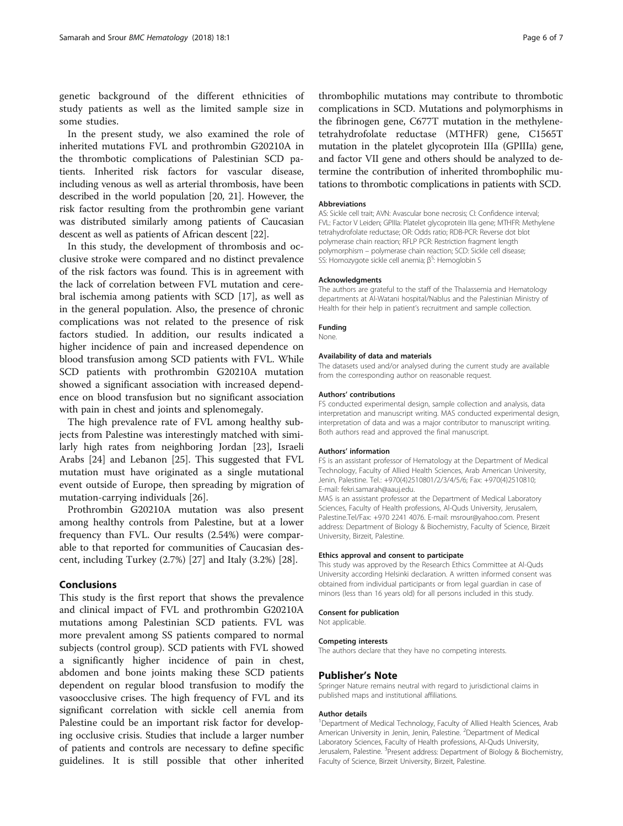genetic background of the different ethnicities of study patients as well as the limited sample size in some studies.

In the present study, we also examined the role of inherited mutations FVL and prothrombin G20210A in the thrombotic complications of Palestinian SCD patients. Inherited risk factors for vascular disease, including venous as well as arterial thrombosis, have been described in the world population [[20, 21\]](#page-6-0). However, the risk factor resulting from the prothrombin gene variant was distributed similarly among patients of Caucasian descent as well as patients of African descent [\[22\]](#page-6-0).

In this study, the development of thrombosis and occlusive stroke were compared and no distinct prevalence of the risk factors was found. This is in agreement with the lack of correlation between FVL mutation and cerebral ischemia among patients with SCD [[17\]](#page-6-0), as well as in the general population. Also, the presence of chronic complications was not related to the presence of risk factors studied. In addition, our results indicated a higher incidence of pain and increased dependence on blood transfusion among SCD patients with FVL. While SCD patients with prothrombin G20210A mutation showed a significant association with increased dependence on blood transfusion but no significant association with pain in chest and joints and splenomegaly.

The high prevalence rate of FVL among healthy subjects from Palestine was interestingly matched with similarly high rates from neighboring Jordan [[23\]](#page-6-0), Israeli Arabs [[24\]](#page-6-0) and Lebanon [\[25](#page-6-0)]. This suggested that FVL mutation must have originated as a single mutational event outside of Europe, then spreading by migration of mutation-carrying individuals [[26\]](#page-6-0).

Prothrombin G20210A mutation was also present among healthy controls from Palestine, but at a lower frequency than FVL. Our results (2.54%) were comparable to that reported for communities of Caucasian descent, including Turkey (2.7%) [[27](#page-6-0)] and Italy (3.2%) [[28](#page-6-0)].

## Conclusions

This study is the first report that shows the prevalence and clinical impact of FVL and prothrombin G20210A mutations among Palestinian SCD patients. FVL was more prevalent among SS patients compared to normal subjects (control group). SCD patients with FVL showed a significantly higher incidence of pain in chest, abdomen and bone joints making these SCD patients dependent on regular blood transfusion to modify the vasoocclusive crises. The high frequency of FVL and its significant correlation with sickle cell anemia from Palestine could be an important risk factor for developing occlusive crisis. Studies that include a larger number of patients and controls are necessary to define specific guidelines. It is still possible that other inherited

thrombophilic mutations may contribute to thrombotic complications in SCD. Mutations and polymorphisms in the fibrinogen gene, C677T mutation in the methylenetetrahydrofolate reductase (MTHFR) gene, C1565T mutation in the platelet glycoprotein IIIa (GPIIIa) gene, and factor VII gene and others should be analyzed to determine the contribution of inherited thrombophilic mutations to thrombotic complications in patients with SCD.

#### Abbreviations

AS: Sickle cell trait; AVN: Avascular bone necrosis; CI: Confidence interval; FVL: Factor V Leiden; GPIIIa: Platelet glycoprotein IIIa gene; MTHFR: Methylene tetrahydrofolate reductase; OR: Odds ratio; RDB-PCR: Reverse dot blot polymerase chain reaction; RFLP PCR: Restriction fragment length polymorphism – polymerase chain reaction; SCD: Sickle cell disease; SS: Homozygote sickle cell anemia;  $\beta^5$ : Hemoglobin S

#### Acknowledgments

The authors are grateful to the staff of the Thalassemia and Hematology departments at Al-Watani hospital/Nablus and the Palestinian Ministry of Health for their help in patient's recruitment and sample collection.

# Funding

None.

#### Availability of data and materials

The datasets used and/or analysed during the current study are available from the corresponding author on reasonable request.

#### Authors' contributions

FS conducted experimental design, sample collection and analysis, data interpretation and manuscript writing. MAS conducted experimental design, interpretation of data and was a major contributor to manuscript writing. Both authors read and approved the final manuscript.

#### Authors' information

FS is an assistant professor of Hematology at the Department of Medical Technology, Faculty of Allied Health Sciences, Arab American University, Jenin, Palestine. Tel.: +970(4)2510801/2/3/4/5/6; Fax: +970(4)2510810; E-mail: fekri.samarah@aauj.edu.

MAS is an assistant professor at the Department of Medical Laboratory Sciences, Faculty of Health professions, Al-Quds University, Jerusalem, Palestine.Tel/Fax: +970 2241 4076. E-mail: msrour@yahoo.com. Present address: Department of Biology & Biochemistry, Faculty of Science, Birzeit University, Birzeit, Palestine.

#### Ethics approval and consent to participate

This study was approved by the Research Ethics Committee at Al-Quds University according Helsinki declaration. A written informed consent was obtained from individual participants or from legal guardian in case of minors (less than 16 years old) for all persons included in this study.

#### Consent for publication

Not applicable.

#### Competing interests

The authors declare that they have no competing interests.

### Publisher's Note

Springer Nature remains neutral with regard to jurisdictional claims in published maps and institutional affiliations.

#### Author details

<sup>1</sup>Department of Medical Technology, Faculty of Allied Health Sciences, Arab American University in Jenin, Jenin, Palestine. <sup>2</sup>Department of Medical Laboratory Sciences, Faculty of Health professions, Al-Quds University, Jerusalem, Palestine. <sup>3</sup>Present address: Department of Biology & Biochemistry, Faculty of Science, Birzeit University, Birzeit, Palestine.